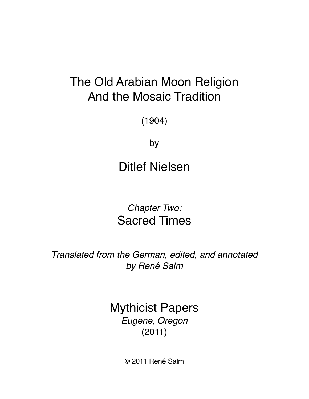# The Old Arabian Moon Religion And the Mosaic Tradition

(1904)

by

Ditlef Nielsen

*Chapter Two:* Sacred Times

*Translated from the German, edited, and annotated by René Salm*

> Mythicist Papers *Eugene, Oregon*  (2011)

> > © 2011 René Salm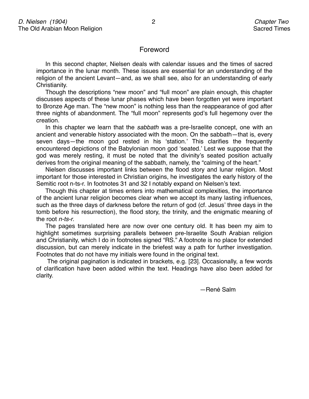## Foreword

In this second chapter, Nielsen deals with calendar issues and the times of sacred importance in the lunar month. These issues are essential for an understanding of the religion of the ancient Levant—and, as we shall see, also for an understanding of early Christianity.

Though the descriptions "new moon" and "full moon" are plain enough, this chapter discusses aspects of these lunar phases which have been forgotten yet were important to Bronze Age man. The "new moon" is nothing less than the reappearance of god after three nights of abandonment. The "full moon" represents god's full hegemony over the creation.

In this chapter we learn that the *sabbath* was a pre-Israelite concept, one with an ancient and venerable history associated with the moon. On the sabbath—that is, every seven days—the moon god rested in his ʻstation.' This clarifies the frequently encountered depictions of the Babylonian moon god ʻseated.' Lest we suppose that the god was merely resting, it must be noted that the divinity's seated position actually derives from the original meaning of the sabbath, namely, the "calming of the heart."

Nielsen discusses important links between the flood story and lunar religion. Most important for those interested in Christian origins, he investigates the early history of the Semitic root n-ts-r. In footnotes 31 and 32 I notably expand on Nielsen's text.

Though this chapter at times enters into mathematical complexities, the importance of the ancient lunar religion becomes clear when we accept its many lasting influences, such as the three days of darkness before the return of god (cf. Jesus' three days in the tomb before his resurrection), the flood story, the trinity, and the enigmatic meaning of the root *n-ts-r*.

The pages translated here are now over one century old. It has been my aim to highlight sometimes surprising parallels between pre-Israelite South Arabian religion and Christianity, which I do in footnotes signed "RS." A footnote is no place for extended discussion, but can merely indicate in the briefest way a path for further investigation. Footnotes that do not have my initials were found in the original text.

 The original pagination is indicated in brackets, e.g. [23]. Occasionally, a few words of clarification have been added within the text. Headings have also been added for clarity.

-René Salm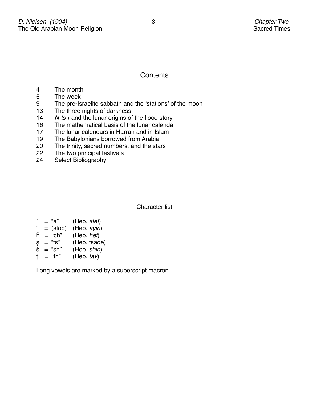# **Contents**

- 4 The month
- 5 The week
- 9 The pre-Israelite sabbath and the ʻstations' of the moon
- 13 The three nights of darkness
- 14 *N-ts-r* and the lunar origins of the flood story<br>16 The mathematical basis of the lunar calendar
- The mathematical basis of the lunar calendar
- 17 The lunar calendars in Harran and in Islam
- 19 The Babylonians borrowed from Arabia
- 20 The trinity, sacred numbers, and the stars
- 22 The two principal festivals
- 24 Select Bibliography

Character list

| , | = "a"      | (Heb. alef)  |
|---|------------|--------------|
| ٠ | $=$ (stop) | (Heb. ayin)  |
| ĥ | $=$ "ch"   | (Heb. het)   |
| Ş | = "ts"     | (Heb. tsade) |
| Š | $=$ "sh"   | (Heb. shin)  |
| t | = "th"     | (Heb. tav)   |

Long vowels are marked by a superscript macron.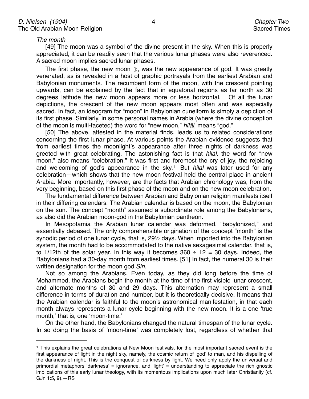*The month*

[49] The moon was a symbol of the divine present in the sky. When this is properly appreciated, it can be readily seen that the various lunar phases were also reverenced. A sacred moon implies sacred lunar phases.

The first phase, the new moon i, was the new appearance of god. It was greatly venerated, as is revealed in a host of graphic portrayals from the earliest Arabian and Babylonian monuments. The recumbent form of the moon, with the crescent pointing upwards, can be explained by the fact that in equatorial regions as far north as 30 degrees latitude the new moon appears more or less horizontal. Of all the lunar depictions, the crescent of the new moon appears most often and was especially sacred. In fact, an ideogram for "moon" in Babylonian cuneiform is simply a depiction of its first phase. Similarly, in some personal names in Arabia (where the divine conception of the moon is multi-faceted) the word for "new moon," *hil*ā*l*, means "god."

[50] The above, attested in the material finds, leads us to related considerations concerning the first lunar phase. At various points the Arabian evidence suggests that from earliest times the moonlight's appearance after three nights of darkness was greeted with great celebrating. The astonishing fact is that *hil*ā*l,* the word for "new moon," also means "celebration." It was first and foremost the cry of joy, the rejoicing and welcoming of god's appearance in the sky.[1](#page-3-0) But *hil*ā*l* was later used for any celebration—which shows that the new moon festival held the central place in ancient Arabia. More importantly, however, are the facts that Arabian chronology was, from the very beginning, based on this first phase of the moon and on the new moon celebration.

The fundamental difference between Arabian and Babylonian religion manifests itself in their differing calendars. The Arabian calendar is based on the moon, the Babylonian on the sun. The concept "month" assumed a subordinate role among the Babylonians, as also did the Arabian moon-god in the Babylonian pantheon.

In Mesopotamia the Arabian lunar calendar was deformed, "babylonized," and essentially debased. The only comprehensible origination of the concept "month" is the synodic period of one lunar cycle, that is, 29½ days. When imported into the Babylonian system, the month had to be accommodated to the native sexagesimal calendar, that is, to 1/12th of the solar year. In this way it becomes  $360 \div 12 = 30$  days. Indeed, the Babylonians had a 30-day month from earliest times. [51] In fact, the numeral 30 is their written designation for the moon god *Sin*.

Not so among the Arabians. Even today, as they did long before the time of Mohammed, the Arabians begin the month at the time of the first visible lunar crescent, and alternate months of 30 and 29 days. This alternation may represent a small difference in terms of duration and number, but it is theoretically decisive. It means that the Arabian calendar is faithful to the moon's astronomical manifestation, in that each month always represents a lunar cycle beginning with the new moon. It is a one ʻtrue month,' that is, one ʻmoon-time.'

On the other hand, the Babylonians changed the natural timespan of the lunar cycle. In so doing the basis of ʻmoon-time' was completely lost, regardless of whether that

<span id="page-3-0"></span><sup>1</sup> This explains the great celebrations at New Moon festivals, for the most important sacred event is the first appearance of light in the night sky, namely, the cosmic return of ʻgod' to man, and his dispelling of the darkness of night. This is the conquest of darkness by light. We need only apply the universal and primordial metaphors ʻdarkness' = ignorance, and ʻlight' = understanding to appreciate the rich gnostic implications of this early lunar theology, with its momentous implications upon much later Christianity (cf. GJn 1:5, 9).—RS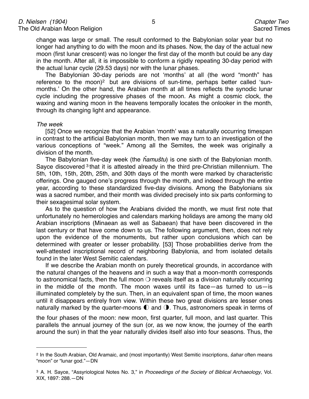change was large or small. The result conformed to the Babylonian solar year but no longer had anything to do with the moon and its phases. Now, the day of the actual new moon (first lunar crescent) was no longer the first day of the month but could be any day in the month. After all, it is impossible to conform a rigidly repeating 30-day period with the actual lunar cycle (29.53 days) nor with the lunar phases.

The Babylonian 30-day periods are not ʻmonths' at all (the word "month" has reference to the moon)<sup>[2](#page-4-0)</sup> but are divisions of sun-time, perhaps better called 'sunmonths.' On the other hand, the Arabian month at all times reflects the synodic lunar cycle including the progressive phases of the moon. As might a cosmic clock, the waxing and waning moon in the heavens temporally locates the onlooker in the month, through its changing light and appearance.

#### *The week*

[52] Once we recognize that the Arabian ʻmonth' was a naturally occurring timespan in contrast to the artificial Babylonian month, then we may turn to an investigation of the various conceptions of "week." Among all the Semites, the week was originally a division of the month.

The Babylonian five-day week (the ĥ*amu*š*tu*) is one sixth of the Babylonian month. Sayce discovered [3](#page-4-1) that it is attested already in the third pre-Christian millennium. The 5th, 10th, 15th, 20th, 25th, and 30th days of the month were marked by characteristic offerings. One gauged one's progress through the month, and indeed through the entire year, according to these standardized five-day divisions. Among the Babylonians six was a sacred number, and their month was divided precisely into six parts conforming to their sexagesimal solar system.

As to the question of how the Arabians divided the month, we must first note that unfortunately no hemerologies and calendars marking holidays are among the many old Arabian inscriptions (Minaean as well as Sabaean) that have been discovered in the last century or that have come down to us. The following argument, then, does not rely upon the evidence of the monuments, but rather upon conclusions which can be determined with greater or lesser probability. [53] Those probabilities derive from the well-attested inscriptional record of neighboring Babylonia, and from isolated details found in the later West Semitic calendars.

If we describe the Arabian month on purely theoretical grounds, in accordance with the natural changes of the heavens and in such a way that a moon-month corresponds to astronomical facts, then the full moon  $\bigcirc$  reveals itself as a division naturally occurring in the middle of the month. The moon waxes until its face—as turned to us—is illuminated completely by the sun. Then, in an equivalent span of time, the moon wanes until it disappears entirely from view. Within these two great divisions are lesser ones naturally marked by the quarter-moons  $\mathbb O$  and  $\mathbb O$ . Thus, astronomers speak in terms of

the four phases of the moon: new moon, first quarter, full moon, and last quarter. This parallels the annual journey of the sun (or, as we now know, the journey of the earth around the sun) in that the year naturally divides itself also into four seasons. Thus, the

<span id="page-4-1"></span><span id="page-4-0"></span><sup>2</sup> In the South Arabian, Old Aramaic, and (most importantly) West Semitic inscriptions, š*ahar* often means "moon" or "lunar god."—DN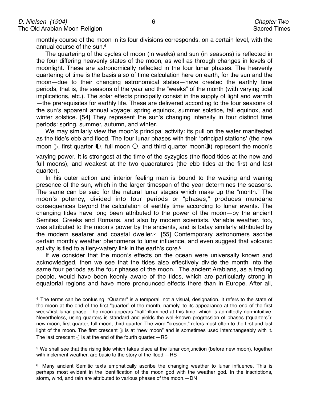monthly course of the moon in its four divisions corresponds, on a certain level, with the annual course of the sun[.4](#page-5-0)

The quartering of the cycles of moon (in weeks) and sun (in seasons) is reflected in the four differing heavenly states of the moon, as well as through changes in levels of moonlight. These are astronomically reflected in the four lunar phases. The heavenly quartering of time is the basis also of time calculation here on earth, for the sun and the moon—due to their changing astronomical states—have created the earthly time periods, that is, the seasons of the year and the "weeks" of the month (with varying tidal implications, etc.). The solar effects principally consist in the supply of light and warmth —the prerequisites for earthly life. These are delivered according to the four seasons of the sun's apparent annual voyage: spring equinox, summer solstice, fall equinox, and winter solstice. [54] They represent the sun's changing intensity in four distinct time periods: spring, summer, autumn, and winter.

We may similarly view the moon's principal activity: its pull on the water manifested as the tide's ebb and flood. The four lunar phases with their ʻprincipal stations' (the new moon  $\mathbb{D}$ , first quarter  $\mathbb{O}$ , full moon  $\bigcirc$ , and third quarter moon $\mathbb{O}$ ) represent the moon's

varying power. It is strongest at the time of the syzygies (the flood tides at the new and full moons), and weakest at the two quadratures (the ebb tides at the first and last quarter).

In his outer action and interior feeling man is bound to the waxing and waning presence of the sun, which in the larger timespan of the year determines the seasons. The same can be said for the natural lunar stages which make up the "month." The moon's potency, divided into four periods or "phases," produces mundane consequences beyond the calculation of earthly time according to lunar events. The changing tides have long been attributed to the power of the moon—by the ancient Semites, Greeks and Romans, and also by modern scientists. Variable weather, too, was attributed to the moon's power by the ancients, and is today similarly attributed by the modern seafarer and coastal dweller.<sup>5</sup> [55] Contemporary astronomers ascribe certain monthly weather phenomena to lunar influence, and even suggest that volcanic activity is tied to a fiery-watery link in the earth's core[.6](#page-5-2)

If we consider that the moon's effects on the ocean were universally known and acknowledged, then we see that the tides also effectively divide the month into the same four periods as the four phases of the moon. The ancient Arabians, as a trading people, would have been keenly aware of the tides, which are particularly strong in equatorial regions and have more pronounced effects there than in Europe. After all,

<span id="page-5-0"></span><sup>4</sup> The terms can be confusing. "Quarter" is a temporal, not a visual, designation. It refers to the state of the moon at the end of the first "quarter" of the month, namely, to its appearance at the end of the first week/first lunar phase. The moon appears "half"-illumined at this time, which is admittedly non-intuitive. Nevertheless, using quarters is standard and yields the well-known progression of phases ("quarters"): new moon, first quarter, full moon, third quarter. The word "crescent" refers most often to the first and last light of the moon. The first crescent  $\mathcal D$  is at "new moon" and is sometimes used interchangeably with it. The last crescent  $\mathbb C$  is at the end of the fourth quarter.  $-RS$ 

<span id="page-5-1"></span><sup>5</sup> We shall see that the rising tide which takes place at the lunar conjunction (before new moon), together with inclement weather, are basic to the story of the flood.—RS

<span id="page-5-2"></span><sup>&</sup>lt;sup>6</sup> Many ancient Semitic texts emphatically ascribe the changing weather to lunar influence. This is perhaps most evident in the identification of the moon god with the weather god. In the inscriptions, storm, wind, and rain are attributed to various phases of the moon.—DN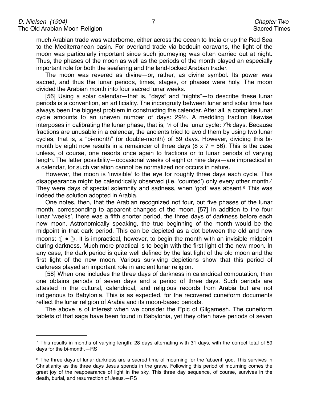much Arabian trade was waterborne, either across the ocean to India or up the Red Sea to the Mediterranean basin. For overland trade via bedouin caravans, the light of the moon was particularly important since such journeying was often carried out at night. Thus, the phases of the moon as well as the periods of the month played an especially important role for both the seafaring and the land-locked Arabian trader.

The moon was revered as divine—or, rather, as divine symbol. Its power was sacred, and thus the lunar periods, times, stages, or phases were holy. The moon divided the Arabian month into four sacred lunar weeks.

[56] Using a solar calendar—that is, "days" and "nights"—to describe these lunar periods is a convention, an artificiality. The incongruity between lunar and solar time has always been the biggest problem in constructing the calendar. After all, a complete lunar cycle amounts to an uneven number of days: 29½. A meddling fraction likewise interposes in calibrating the lunar phase, that is, ¼ of the lunar cycle: 7⅜ days. Because fractions are unusable in a calendar, the ancients tried to avoid them by using two lunar cycles, that is, a "bi-month" (or double-month) of 59 days. However, dividing this bimonth by eight now results in a remainder of three days  $(8 \times 7 = 56)$ . This is the case unless, of course, one resorts once again to fractions or to lunar periods of varying length. The latter possibility—occasional weeks of eight or nine days—are impractical in a calendar, for such variation cannot be normalized nor occurs in nature.

However, the moon is ʻinvisible' to the eye for roughly three days each cycle. This disappearance might be calendrically observed (i.e. ʻcounted') only every other month[.7](#page-6-0) They were days of special solemnity and sadness, when 'god' was absent.<sup>8</sup> This was indeed the solution adopted in Arabia.

One notes, then, that the Arabian recognized not four, but five phases of the lunar month, corresponding to apparent changes of the moon. [57] In addition to the four lunar ʻweeks', there was a fifth shorter period, the three days of darkness before each new moon. Astronomically speaking, the true beginning of the month would be the midpoint in that dark period. This can be depicted as a dot between the old and new moons: ( $\bullet$  ). It is impractical, however, to begin the month with an invisible midpoint during darkness. Much more practical is to begin with the first light of the new moon. In any case, the dark period is quite well defined by the last light of the old moon and the first light of the new moon. Various surviving depictions show that this period of darkness played an important role in ancient lunar religion.

[58] When one includes the three days of darkness in calendrical computation, then one obtains periods of seven days and a period of three days. Such periods are attested in the cultural, calendrical, and religious records from Arabia but are not indigenous to Babylonia. This is as expected, for the recovered cuneiform documents reflect the lunar religion of Arabia and its moon-based periods.

The above is of interest when we consider the Epic of Gilgamesh. The cuneiform tablets of that saga have been found in Babylonia, yet they often have periods of seven

<span id="page-6-0"></span> $\frac{7}{1}$  This results in months of varying length: 28 days alternating with 31 days, with the correct total of 59 days for the bi-month.—RS

<span id="page-6-1"></span><sup>&</sup>lt;sup>8</sup> The three days of lunar darkness are a sacred time of mourning for the 'absent' god. This survives in Christianity as the three days Jesus spends in the grave. Following this period of mourning comes the great joy of the reappearance of light in the sky. This three day sequence, of course, survives in the death, burial, and resurrection of Jesus.—RS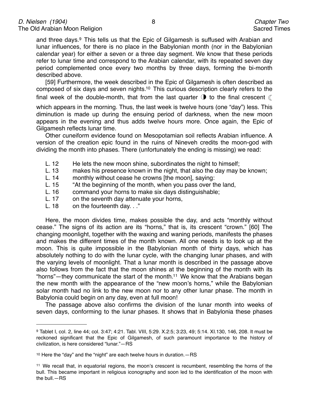and three days.[9](#page-7-0) This tells us that the Epic of Gilgamesh is suffused with Arabian and lunar influences, for there is no place in the Babylonian month (nor in the Babylonian calendar year) for either a seven or a three day segment. We know that these periods refer to lunar time and correspond to the Arabian calendar, with its repeated seven day period complemented once every two months by three days, forming the bi-month described above.

[59] Furthermore, the week described in the Epic of Gilgamesh is often described as composed of six days and seven nights[.10](#page-7-1) This curious description clearly refers to the final week of the double-month, that from the last quarter  $\bigcirc$  to the final crescent  $\mathbb C$ 

which appears in the morning. Thus, the last week is twelve hours (one "day") less. This diminution is made up during the ensuing period of darkness, when the new moon appears in the evening and thus adds twelve hours more. Once again, the Epic of Gilgamesh reflects lunar time.

Other cuneiform evidence found on Mesopotamian soil reflects Arabian influence. A version of the creation epic found in the ruins of Nineveh credits the moon-god with dividing the month into phases. There (unfortunately the ending is missing) we read:

- L. 12 He lets the new moon shine, subordinates the night to himself;
- L. 13 makes his presence known in the night, that also the day may be known;
- L. 14 monthly without cease he crowns [the moon], saying:
- L. 15 "At the beginning of the month, when you pass over the land,
- L. 16 command your horns to make six days distinguishable;<br>L. 17 on the seventh day attenuate your horns,
- on the seventh day attenuate your horns,
- L. 18 on the fourteenth day. . ."

Here, the moon divides time, makes possible the day, and acts "monthly without cease." The signs of its action are its "horns," that is, its crescent "crown." [60] The changing moonlight, together with the waxing and waning periods, manifests the phases and makes the different times of the month known. All one needs is to look up at the moon. This is quite impossible in the Babylonian month of thirty days, which has absolutely nothing to do with the lunar cycle, with the changing lunar phases, and with the varying levels of moonlight. That a lunar month is described in the passage above also follows from the fact that the moon shines at the beginning of the month with its "horns"—they communicate the start of the month[.11](#page-7-2) We know that the Arabians began the new month with the appearance of the "new moon's horns," while the Babylonian solar month had no link to the new moon nor to any other lunar phase. The month in Babylonia could begin on any day, even at full moon!

The passage above also confirms the division of the lunar month into weeks of seven days, conforming to the lunar phases. It shows that in Babylonia these phases

<span id="page-7-0"></span><sup>9</sup> Tablet I, col. 2, line 44; col. 3:47; 4:21. Tabl. VIII, 5:29. X.2:5; 3:23, 49; 5:14. XI.130, 146, 208. It must be reckoned significant that the Epic of Gilgamesh, of such paramount importance to the history of civilization, is here considered "lunar."—RS

<span id="page-7-1"></span><sup>10</sup> Here the "day" and the "night" are each twelve hours in duration.—RS

<span id="page-7-2"></span><sup>11</sup> We recall that, in equatorial regions, the moon's crescent is recumbent, resembling the horns of the bull. This became important in religious iconography and soon led to the identification of the moon with the bull.—RS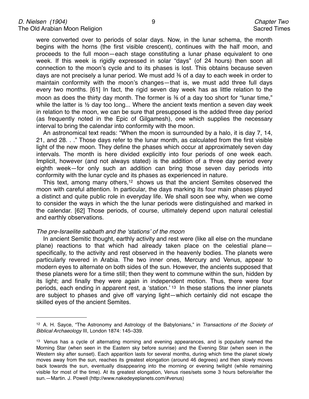were converted over to periods of solar days. Now, in the lunar schema, the month begins with the horns (the first visible crescent), continues with the half moon, and proceeds to the full moon—each stage constituting a lunar phase equivalent to one week. If this week is rigidly expressed in solar "days" (of 24 hours) then soon all connection to the moon's cycle and to its phases is lost. This obtains because seven days are not precisely a lunar period. We must add  $\frac{3}{6}$  of a day to each week in order to maintain conformity with the moon's changes—that is, we must add three full days every two months. [61] In fact, the rigid seven day week has as little relation to the moon as does the thirty day month. The former is 3% of a day too short for "lunar time." while the latter is  $\frac{1}{2}$  day too long... Where the ancient texts mention a seven day week in relation to the moon, we can be sure that presupposed is the added three day period (as frequently noted in the Epic of Gilgamesh), one which supplies the necessary interval to bring the calendar into conformity with the moon.

An astronomical text reads: "When the moon is surrounded by a halo, it is day 7, 14, 21, and 28. . ." Those days refer to the lunar month, as calculated from the first visible light of the new moon. They define the phases which occur at approximately seven day intervals. The month is here divided explicitly into four periods of one week each. Implicit, however (and not always stated) is the addition of a three day period every eighth week—for only such an addition can bring those seven day periods into conformity with the lunar cycle and its phases as experienced in nature.

This text, among many others,<sup>12</sup> shows us that the ancient Semites observed the moon with careful attention. In particular, the days marking its four main phases played a distinct and quite public role in everyday life. We shall soon see why, when we come to consider the ways in which the the lunar periods were distinguished and marked in the calendar. [62] Those periods, of course, ultimately depend upon natural celestial and earthly observations.

#### *The pre-Israelite sabbath and the* ʻ*stations*' *of the moon*

In ancient Semitic thought, earthly activity and rest were (like all else on the mundane plane) reactions to that which had already taken place on the celestial plane specifically, to the activity and rest observed in the heavenly bodies. The planets were particularly revered in Arabia. The two inner ones, Mercury and Venus, appear to modern eyes to alternate on both sides of the sun. However, the ancients supposed that these planets were for a time still; then they went to commune within the sun, hidden by its light; and finally they were again in independent motion. Thus, there were four periods, each ending in apparent rest, a ʻstation.' [13](#page-8-1) In these stations the inner planets are subject to phases and give off varying light—which certainly did not escape the skilled eyes of the ancient Semites.

<span id="page-8-0"></span><sup>12</sup> A. H. Sayce, "The Astronomy and Astrology of the Babylonians," in *Transactions of the Society of Biblical Archaeology* III, London 1874: 145–339.

<span id="page-8-1"></span><sup>&</sup>lt;sup>13</sup> Venus has a cycle of alternating morning and evening appearances, and is popularly named the Morning Star (when seen in the Eastern sky before sunrise) and the Evening Star (when seen in the Western sky after sunset). Each apparition lasts for several months, during which time the planet slowly moves away from the sun, reaches its greatest elongation (around 46 degrees) and then slowly moves back towards the sun, eventually disappearing into the morning or evening twilight (while remaining visible for most of the time). At its greatest elongation, Venus rises/sets some 3 hours before/after the sun.—Martin. J. Powell (http://www.nakedeyeplanets.com/#venus)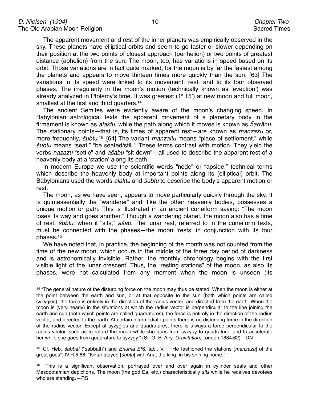The apparent movement and rest of the inner planets was empirically observed in the sky. These planets have elliptical orbits and seem to go faster or slower depending on their position at the two points of closest approach (perihelion) or two points of greatest distance (aphelion) from the sun. The moon, too, has variations in speed based on its orbit. Those variations are in fact quite marked, for the moon is by far the fastest among the planets and appears to move thirteen times more quickly than the sun. [63] The variations in its speed were linked to its movement, rest, and to its four observed phases. The irregularity in the moon's motion (technically known as ʻevection') was already analyzed in Ptolemy's time. It was greatest  $(1^{\circ} 15^{\circ})$  at new moon and full moon, smallest at the first and third quarters[.14](#page-9-0)

The ancient Semites were evidently aware of the moon's changing speed. In Babylonian astrological texts the apparent movement of a planetary body in the firmament is known as *alaktu*, while the path along which it moves is known as ĥ*arr*ā*nu*. The stationary points—that is, its times of apparent rest—are known as *manzazu* or, more frequently, š*ubtu*[.15](#page-9-1) [64] The variant *manzaltu* means "place of settlement," while š*ubtu* means "seat," "be seated/still." These terms contrast with motion. They yield the verbs *nazazu* "settle" and *a*š*abu* "sit down"—all used to describe the apparent rest of a heavenly body at a ʻstation' along its path.

In modern Europe we use the scientific words "node" or "apside," technical terms which describe the heavenly body at important points along its (elliptical) orbit. The Babylonians used the words *alaktu* and š*ubtu* to describe the body's apparent motion or rest.

The moon, as we have seen, appears to move particularly quickly through the sky. It is quintessentially the "wanderer" and, like the other heavenly bodies, possesses a unique motion or path. This is illustrated in an ancient cuneiform saying: "The moon loses its way and goes another." Though a wandering planet, the moon also has a time of rest, š*ubtu,* when it "sits," *a*š*ab*. The lunar rest, referred to in the cuneiform texts, must be connected with the phases—the moon ʻrests' in conjunction with its four phases[.16](#page-9-2)

We have noted that, in practice, the beginning of the month was not counted from the time of the new moon, which occurs in the middle of the three day period of darkness and is astronomically invisible. Rather, the monthly chronology begins with the first visible light of the lunar crescent. Thus, the "resting stations" of the moon, as also its phases, were not calculated from any moment when the moon is unseen (its

<span id="page-9-0"></span><sup>&</sup>lt;sup>14</sup> "The general nature of the disturbing force on the moon may thus be stated. When the moon is either at the point between the earth and sun, or at that opposite to the sun (both which points are called syzygies), the force is entirely in the direction of the radius vector, and directed from the earth. When the moon is (very nearly) in the situations at which the radius vector is perpendicular to the line joining the earth and sun (both which points are called quadratures), the force is entirely in the direction of the radius vector, and directed to the earth. At certain intermediate points there is no disturbing force in the direction of the radius vector. Except at syzygies and quadratures, there is always a force perpendicular to the radius vector, such as to retard the moon while she goes from syzygy to quadrature, and to accelerate her while she goes from quadrature to syzygy." (Sir G. B. Airy, *Gravitation*, London 1884:62)—DN

<span id="page-9-1"></span><sup>15</sup> Cf. Heb. š*abbat* ("sabbath") and *Enuma Eli*š, tabl. V.1: "He fashioned the stations [*manzaza*] of the great gods"; IV.R.5.66: "Ishtar stayed [š*ubtu*] with Anu, the king, in his shining home."

<span id="page-9-2"></span><sup>&</sup>lt;sup>16</sup> This is a significant observation, portrayed over and over again in cylinder seals and other Mesopotamian depictions. The moon (the god Ea, etc.) characteristically *sits* while he receives devotees who are standing.—RS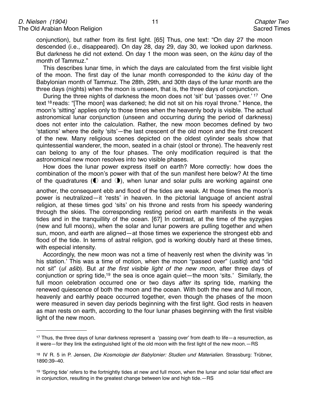conjunction), but rather from its first light. [65] Thus, one text: "On day 27 the moon descended (i.e., disappeared). On day 28, day 29, day 30, we looked upon darkness. But darkness he did not extend. On day 1 the moon was seen, on the *k*ū*nu* day of the month of Tammuz."

This describes lunar time, in which the days are calculated from the first visible light of the moon. The first day of the lunar month corresponded to the *k*ū*nu* day of the Babylonian month of Tammuz. The 28th, 29th, and 30th days of the lunar month are the three days (nights) when the moon is unseen, that is, the three days of conjunction.

During the three nights of darkness the moon does not ʻsit' but ʻpasses over.' [17](#page-10-0) One text [18](#page-10-1) reads: "[The moon] was darkened; he did not sit on his royal throne." Hence, the moon's ʻsitting' applies only to those times when the heavenly body is visible. The actual astronomical lunar conjunction (unseen and occurring during the period of darkness) does not enter into the calculation. Rather, the new moon becomes defined by two ʻstations' where the deity ʻsits'—the last crescent of the old moon and the first crescent of the new. Many religious scenes depicted on the oldest cylinder seals show that quintessential wanderer, the moon, seated in a chair (stool or throne). The heavenly rest can belong to any of the four phases. The only modification required is that the astronomical new moon resolves into two visible phases.

How does the lunar power express itself on earth? More correctly: how does the combination of the moon's power with that of the sun manifest here below? At the time of the quadratures ( $\odot$  and  $\odot$ ), when lunar and solar pulls are working against one

another, the consequent ebb and flood of the tides are weak. At those times the moon's power is neutralized—it ʻrests' in heaven. In the pictorial language of ancient astral religion, at these times god ʻsits' on his throne and rests from his speedy wandering through the skies. The corresponding resting period on earth manifests in the weak tides and in the tranquillity of the ocean. [67] In contrast, at the time of the syzygies (new and full moons), when the solar and lunar powers are pulling together and when sun, moon, and earth are aligned—at those times we experience the strongest ebb and flood of the tide. In terms of astral religion, god is working doubly hard at these times, with especial intensity.

Accordingly, the new moon was not a time of heavenly rest when the divinity was ʻin his station.' This was a time of motion, when the moon "passed over" (*usitiq*) and "did not sit" (*ul a*š*ib*). But *at the first visible light of the new moon*, after three days of conjunction or spring tide[,19](#page-10-2) the sea is once again quiet—the moon ʻsits.' Similarly, the full moon celebration occurred one or two days *after* its spring tide, marking the renewed quiescence of both the moon and the ocean. With both the new and full moon, heavenly and earthly peace occurred together, even though the phases of the moon were measured in seven day periods beginning with the first light. God rests in heaven as man rests on earth, according to the four lunar phases beginning with the first visible light of the new moon.

<span id="page-10-0"></span><sup>17</sup> Thus, the three days of lunar darkness represent a ʻpassing over' from death to life—a resurrection, as it were—for they link the extinguished light of the old moon with the first light of the new moon.—RS

<span id="page-10-1"></span><sup>18</sup> IV R. 5 in P. Jensen, *Die Kosmologie der Babylonier: Studien und Materialien*. Strassburg: Trübner, 1890:39–40.

<span id="page-10-2"></span><sup>&</sup>lt;sup>19</sup> 'Spring tide' refers to the fortnightly tides at new and full moon, when the lunar and solar tidal effect are in conjunction, resulting in the greatest change between low and high tide.—RS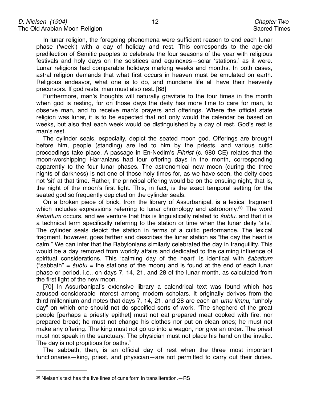In lunar religion, the foregoing phenomena were sufficient reason to end each lunar phase (ʻweek') with a day of holiday and rest. This corresponds to the age-old predilection of Semitic peoples to celebrate the four seasons of the year with religious festivals and holy days on the solstices and equinoxes—solar ʻstations,' as it were. Lunar religions had comparable holidays marking weeks and months. In both cases, astral religion demands that what first occurs in heaven must be emulated on earth. Religious endeavor, what one is to do, and mundane life all have their heavenly precursors. If god rests, man must also rest. [68]

Furthermore, man's thoughts will naturally gravitate to the four times in the month when god is resting, for on those days the deity has more time to care for man, to observe man, and to receive man's prayers and offerings. Where the official state religion was lunar, it is to be expected that not only would the calendar be based on weeks, but also that each week would be distinguished by a day of rest. God's rest is man's rest.

The cylinder seals, especially, depict the seated moon god. Offerings are brought before him, people (standing) are led to him by the priests, and various cultic proceedings take place. A passage in En-Nedim's *Fihrist* (c. 980 CE) relates that the moon-worshipping Harranians had four offering days in the month, corresponding apparently to the four lunar phases. The astronomical new moon (during the three nights of darkness) is not one of those holy times for, as we have seen, the deity does not ʻsit' at that time. Rather, the principal offering would be on the ensuing night, that is, the night of the moon's first light. This, in fact, is the exact temporal setting for the seated god so frequently depicted on the cylinder seals.

On a broken piece of brick, from the library of Assurbanipal, is a lexical fragment which includes expressions referring to lunar chronology and astronomy.<sup>[20](#page-11-0)</sup> The word š*abattum* occurs, and we venture that this is linguistically related to š*ubtu,* and that it is a technical term specifically referring to the station or time when the lunar deity ʻsits.' The cylinder seals depict the station in terms of a cultic performance. The lexical fragment, however, goes farther and describes the lunar station as "the day the heart is calm." We can infer that the Babylonians similarly celebrated the day in tranquillity. This would be a day removed from worldly affairs and dedicated to the calming influence of spiritual considerations. This ʻcalming day of the heart' is identical with š*abattum*  ("sabbath" = š*ubtu* = the stations of the moon) and is found at the end of each lunar phase or period, i.e., on days 7, 14, 21, and 28 of the lunar month, as calculated from the first light of the new moon.

[70] In Assurbanipal's extensive library a calendrical text was found which has aroused considerable interest among modern scholars. It originally derives from the third millennium and notes that days 7, 14, 21, and 28 are each an *umu limnu*, "unholy day" on which one should not do specified sorts of work. "The shepherd of the great people [perhaps a priestly epithet] must not eat prepared meat cooked with fire, nor prepared bread; he must not change his clothes nor put on clean ones; he must not make any offering. The king must not go up into a wagon, nor give an order. The priest must not speak in the sanctuary. The physician must not place his hand on the invalid. The day is not propitious for oaths."

The sabbath, then, is an official day of rest when the three most important functionaries—king, priest, and physician—are not permitted to carry out their duties.

<span id="page-11-0"></span> $20$  Nielsen's text has the five lines of cuneiform in transliteration  $-RS$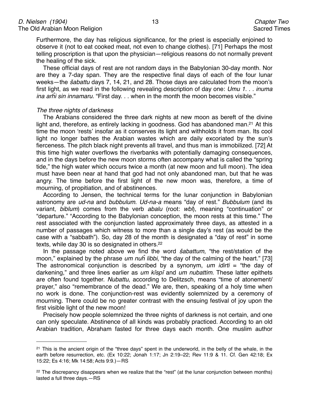Furthermore, the day has religious significance, for the priest is especially enjoined to observe it (not to eat cooked meat, not even to change clothes). [71] Perhaps the most telling proscription is that upon the physician—religious reasons do not normally prevent the healing of the sick.

These official days of rest are not random days in the Babylonian 30-day month. Nor are they a 7-day span. They are the respective final days of each of the four lunar weeks—the š*abattu* days 7, 14, 21, and 28. Those days are calculated from the moon's first light, as we read in the following revealing description of day one: *Umu 1.* . . *inuma ina ar*ĥ*i sin innamaru.* "First day. . . when in the month the moon becomes visible."

#### *The three nights of darkness*

The Arabians considered the three dark nights at new moon as bereft of the divine light and, therefore, as entirely lacking in goodness. God has abandoned man.<sup>21</sup> At this time the moon ʻrests' insofar as it conserves its light and withholds it from man. Its cool light no longer bathes the Arabian wastes which are daily excoriated by the sun's fierceness. The pitch black night prevents all travel, and thus man is immobilized. [72] At this time high water overflows the riverbanks with potentially damaging consequences, and in the days before the new moon storms often accompany what is called the "spring tide," the high water which occurs twice a month (at new moon and full moon). The idea must have been near at hand that god had not only abandoned man, but that he was angry. The time before the first light of the new moon was, therefore, a time of mourning, of propitiation, and of abstinences.

According to Jensen, the technical terms for the lunar conjunction in Babylonian astronomy are *ud-na* and *bubbulum*. *Ud-na-a* means "day of rest." *Bubbulum* (and its variant, *biblum*) comes from the verb *abalu* (root: *wbl*), meaning "continuation" or "departure." "According to the Babylonian conception, the moon rests at this time." The rest associated with the conjunction lasted approximately three days, as attested in a number of passages which witness to more than a single day's rest (as would be the case with a "sabbath"). So, day 28 of the month is designated a "day of rest" in some texts, while day 30 is so designated in others.<sup>22</sup>

In the passage noted above we find the word š*abattum*, "the rest/station of the moon," explained by the phrase *um nu*ĥ *libbi*, "the day of the calming of the heart." [73] The astronomical conjunction is described by a synonym, *um idirti* = "the day of darkening," and three lines earlier as *um kîspî* and *um nubattim*. These latter epithets are often found together. *Nubattu*, according to Delitzsch, means "time of atonement/ prayer," also "remembrance of the dead." We are, then, speaking of a holy time when no work is done. The conjunction-rest was evidently solemnized by a ceremony of mourning. There could be no greater contrast with the ensuing festival of joy upon the first visible light of the new moon!

Precisely how people solemnized the three nights of darkness is not certain, and one can only speculate. Abstinence of all kinds was probably practiced. According to an old Arabian tradition, Abraham fasted for three days each month. One muslim author

<span id="page-12-0"></span><sup>&</sup>lt;sup>21</sup> This is the ancient origin of the "three days" spent in the underworld, in the belly of the whale, in the earth before resurrection, etc. (Ex 10:22; Jonah 1:17; Jn 2:19–22; Rev 11:9 & 11. Cf. Gen 42:18; Ex 15:22; Es 4:16; Mk 14:58; Acts 9:9.)—RS

<span id="page-12-1"></span><sup>22</sup> The discrepancy disappears when we realize that the "rest" (at the lunar conjunction between months) lasted a full three days.—RS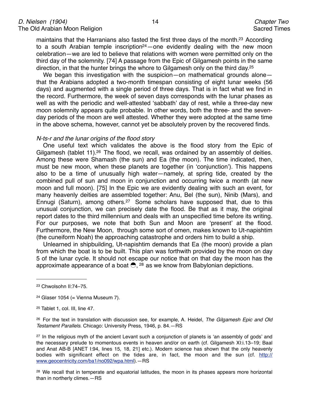maintains that the Harranians also fasted the first three days of the month[.23](#page-13-0) According to a south Arabian temple inscription<sup>24</sup> —one evidently dealing with the new moon celebration—we are led to believe that relations with women were permitted only on the third day of the solemnity. [74] A passage from the Epic of Gilgamesh points in the same direction, in that the hunter brings the whore to Gilgamesh only on the third day[.25](#page-13-2)

We began this investigation with the suspicion—on mathematical grounds alone that the Arabians adopted a two-month timespan consisting of eight lunar weeks (56 days) and augmented with a single period of three days. That is in fact what we find in the record. Furthermore, the week of seven days corresponds with the lunar phases as well as with the periodic and well-attested ʻsabbath' day of rest, while a three-day new moon solemnity appears quite probable. In other words, both the three- and the sevenday periods of the moon are well attested. Whether they were adopted at the same time in the above schema, however, cannot yet be absolutely proven by the recovered finds.

#### *N-ts-r and the lunar origins of the flood story*

One useful text which validates the above is the flood story from the Epic of Gilgamesh (tablet 11).<sup>26</sup> The flood, we recall, was ordained by an assembly of deities. Among these were Shamash (the sun) and Ea (the moon). The time indicated, then, must be new moon, when these planets are together (in ʻconjunction'). This happens also to be a time of unusually high water—namely, at spring tide, created by the combined pull of sun and moon in conjunction and occurring twice a month (at new moon and full moon). [75] In the Epic we are evidently dealing with such an event, for many heavenly deities are assembled together: Anu, Bel (the sun), Ninib (Mars), and Ennugi (Saturn), among others.<sup>27</sup> Some scholars have supposed that, due to this unusual conjunction, we can precisely date the flood. Be that as it may, the original report dates to the third millennium and deals with an unspecified time before its writing. For our purposes, we note that both Sun and Moon are ʻpresent' at the flood. Furthermore, the New Moon, through some sort of omen, makes known to Ut-napishtim (the cuneiform Noah) the approaching catastrophe and orders him to build a ship.

Unlearned in shipbuilding, Ut-napishtim demands that Ea (the moon) provide a plan from which the boat is to be built. This plan was forthwith provided by the moon on day 5 of the lunar cycle. It should not escape our notice that on that day the moon has the approximate appearance of a boat  $\bigcirc$ , <sup>28</sup> as we know from Babylonian depictions.

<span id="page-13-0"></span><sup>23</sup> Chwolsohn II:74–75.

<span id="page-13-1"></span> $24$  Glaser 1054 (= Vienna Museum 7).

<span id="page-13-2"></span><sup>25</sup> Tablet 1, col. III, line 47.

<span id="page-13-3"></span><sup>26</sup> For the text in translation with discussion see, for example, A. Heidel, *The Gilgamesh Epic and Old Testament Parallels*. Chicago: University Press, 1946, p. 84.—RS

<span id="page-13-4"></span><sup>&</sup>lt;sup>27</sup> In the religious myth of the ancient Levant such a conjunction of planets is 'an assembly of gods' and the necessary prelude to momentous events in heaven and/or on earth (cf. Gilgamesh XI:i.13–19; Baal and Anat AB-B [ANET I:94, lines 15, 18, 21] etc.). Modern science has shown that the only heavenly bodies with significant effect on the tides are, in fact, the moon and the sun (cf. [http://](http://www.geocentricity.com/ba1/no092/wpa.html) [www.geocentricity.com/ba1/no092/wpa.html\)](http://www.geocentricity.com/ba1/no092/wpa.html).—RS

<span id="page-13-5"></span><sup>&</sup>lt;sup>28</sup> We recall that in temperate and equatorial latitudes, the moon in its phases appears more horizontal than in northerly climes.—RS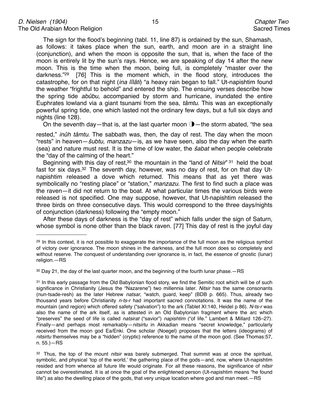The sign for the flood's beginning (tabl. 11, line 87) is ordained by the sun, Shamash, as follows: it takes place when the sun, earth, and moon are in a straight line (conjunction), and when the moon is opposite the sun, that is, when the face of the moon is entirely lit by the sun's rays. Hence, we are speaking of day 14 after the new moon. This is the time when the moon, being full, is completely "master over the darkness.["29](#page-14-0) [76] This is the moment which, in the flood story, introduces the catastrophe, for on that night (*ina lîlâti*) "a heavy rain began to fall." Ut-napishtim found the weather "frightful to behold" and entered the ship. The ensuing verses describe how the spring tide *abûbu*, accompanied by storm and hurricane, inundated the entire Euphrates lowland via a giant tsunami from the sea, *tâmtu*. This was an exceptionally powerful spring tide, one which lasted not the ordinary few days, but a full six days and nights (line 128).

On the seventh day—that is, at the last quarter moon  $\mathbf{O}$ —the storm abated, "the sea

rested," *inûh tâmtu*. The sabbath was, then, the day of rest. The day when the moon "rests" in heaven—š*ubtu, manzazu*—is, as we have seen, also the day when the earth (sea) and nature must rest. It is the time of low water, the š*abat* when people celebrate the "day of the calming of the heart."

Beginning with this day of rest,<sup>30</sup> the mountain in the "land of *Nitsir*" [31](#page-14-2) held the boat fast for six days[.32](#page-14-3) The seventh day, however, was no day of rest, for on that day Utnapishtim released a dove which returned. This means that as yet there was symbolically no "resting place" or "station," *manzazu*. The first to find such a place was the raven—it did not return to the boat. At what particular times the various birds were released is not specified. One may suppose, however, that Ut-napishtim released the three birds on three consecutive days. This would correspond to the three days/nights of conjunction (darkness) following the "empty moon."

After these days of darkness is the "day of rest" which falls under the sign of Saturn, whose symbol is none other than the black raven. [77] This day of rest is the joyful day

<span id="page-14-0"></span><sup>&</sup>lt;sup>29</sup> In this context, it is not possible to exaggerate the importance of the full moon as the religious symbol of victory over ignorance. The moon shines in the darkness, and the full moon does so completely and without reserve. The conquest of understanding over ignorance is, in fact, the essence of gnostic (lunar) religion.—RS

<span id="page-14-1"></span> $30$  Day 21, the day of the last quarter moon, and the beginning of the fourth lunar phase. $-RS$ 

<span id="page-14-2"></span><sup>31</sup> In this early passage from the Old Babylonian flood story, we find the Semitic root which will be of such significance in Christianity (Jesus the "Nazarene") two millennia later. *Nitsir* has the same consonants (nun-tsade-resh) as the later Hebrew *natsar*, "watch, guard, keep" (BDB p. 665). Thus, already two thousand years before Christianity *n-ts-r* had important sacred connotations. It was the name of the mountain (and region) which offered safety ("salvation") to the ark (Tablet XI:140, Heidel p 86). *N-ts-r* was also the name of the ark itself, as is attested in an Old Babylonian fragment where the arc which "preserves" the seed of life is called *natsirat* ("savior") *napishtim* ("of life." Lambert & Millard 126–27). Finally—and perhaps most remarkably—*nitsirtu* in Akkadian means "secret knowledge," particularly received from the moon god Ea/Enki. One scholar (Noegel) proposes that the letters (ideograms) of *nitsirtu* themselves may be a "hidden" (cryptic) reference to the name of the moon god. (See Thomas:57, n. 55.)—RS

<span id="page-14-3"></span><sup>32</sup> Thus, the top of the mount *nitsir* was barely submerged. That summit was at once the spiritual, symbolic, and physical ʻtop of the world,' the gathering place of the gods—and, now, where Ut-napishtim resided and from whence all future life would originate. For all these reasons, the significance of *nitsir* cannot be overestimated. It is at once the goal of the enlightened person (Ut-napishtim means "he found life") as also the dwelling place of the gods, that very unique location where god and man meet.—RS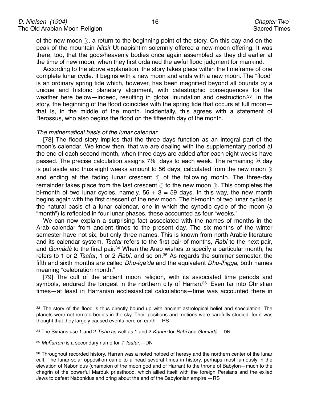of the new moon », a return to the beginning point of the story. On this day and on the peak of the mountain *Nitsir* Ut-napishtim solemnly offered a new-moon offering. It was there, too, that the gods/heavenly bodies once again assembled as they did earlier at the time of new moon, when they first ordained the awful flood judgment for mankind.

According to the above explanation, the story takes place within the timeframe of one complete lunar cycle. It begins with a new moon and ends with a new moon. The "flood" is an ordinary spring tide which, however, has been magnified beyond all bounds by a unique and historic planetary alignment, with catastrophic consequences for the weather here below—indeed, resulting in global inundation and destruction.<sup>33</sup> In the story, the beginning of the flood coincides with the spring tide that occurs at full moon that is, in the middle of the month. Incidentally, this agrees with a statement of Berossus, who also begins the flood on the fifteenth day of the month.

#### *The mathematical basis of the lunar calendar*

[78] The flood story implies that the three days function as an integral part of the moon's calendar. We know then, that we are dealing with the supplementary period at the end of each second month, when three days are added after each eight weeks have passed. The precise calculation assigns 7⅜ days to each week. The remaining ⅜ day is put aside and thus eight weeks amount to 56 days, calculated from the new moon  $\mathbb{D}$ and ending at the fading lunar crescent  $($  of the following month. The three-day remainder takes place from the last crescent  $($  to the new moon  $)$ . This completes the bi-month of two lunar cycles, namely,  $56 + 3 = 59$  days. In this way, the new month begins again with the first crescent of the new moon. The bi-month of two lunar cycles is the natural basis of a lunar calendar, one in which the synodic cycle of the moon (a "month") is reflected in four lunar phases, these accounted as four "weeks."

We can now explain a surprising fact associated with the names of months in the Arab calendar from ancient times to the present day. The six months of the winter semester have not six, but only three names. This is known from north Arabic literature and its calendar system. *Tsafar* refers to the first pair of months, *Rabî* to the next pair, and *Gumâdâ* to the final pair.[34](#page-15-1) When the Arab wishes to specify a particular month, he refers to 1 or 2 *Tsafar*, 1 or 2 *Rabî,* and so on[.35](#page-15-2) As regards the summer semester, the fifth and sixth months are called *Dhu-lqa*ʻ*da* and the equivalent *Dhu-l*ĥ*igga*, both names meaning "celebration month."

[79] The cult of the ancient moon religion, with its associated time periods and symbols, endured the longest in the northern city of Harran.<sup>36</sup> Even far into Christian times—at least in Harranian ecclesiastical calculations—time was accounted there in

<span id="page-15-0"></span><sup>&</sup>lt;sup>33</sup> The story of the flood is thus directly bound up with ancient astrological belief and speculation. The planets were not remote bodies in the sky. Their positions and motions were carefully studied, for it was thought that they largely caused events here on earth.—RS

<span id="page-15-1"></span><sup>34</sup> The Syrians use 1 and 2 *Tishri* as well as 1 and 2 *Kanûn* for *Rabî* and *Gumâdâ.—*DN

<span id="page-15-2"></span><sup>35</sup> *Mu*ĥ*arrem* is a secondary name for *1 Tsafar*.—DN

<span id="page-15-3"></span><sup>36</sup> Throughout recorded history, Harran was a noted hotbed of heresy and the northern center of the lunar cult. The lunar-solar opposition came to a head several times in history, perhaps most famously in the elevation of Nabonidus (champion of the moon god and of Harran) to the throne of Babylon—much to the chagrin of the powerful Marduk priesthood, which allied itself with the foreign Persians and the exiled Jews to defeat Nabonidus and bring about the end of the Babylonian empire.—RS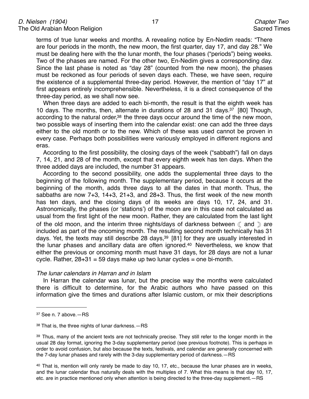terms of true lunar weeks and months. A revealing notice by En-Nedim reads: "There are four periods in the month, the new moon, the first quarter, day 17, and day 28." We must be dealing here with the the lunar month, the four phases ("periods") being weeks. Two of the phases are named. For the other two, En-Nedim gives a corresponding day. Since the last phase is noted as "day 28" (counted from the new moon), the phases must be reckoned as four periods of seven days each. These, we have seen, require the existence of a supplemental three-day period. However, the mention of "day 17" at first appears entirely incomprehensible. Nevertheless, it is a direct consequence of the three-day period, as we shall now see.

When three days are added to each bi-month, the result is that the eighth week has 10 days. The months, then, alternate in durations of 28 and 31 days[.37](#page-16-0) [80] Though, according to the natural order,<sup>38</sup> the three days occur around the time of the new moon, two possible ways of inserting them into the calendar exist: one can add the three days either to the old month or to the new. Which of these was used cannot be proven in every case. Perhaps both possibilities were variously employed in different regions and eras.

According to the first possibility, the closing days of the week ("sabbath") fall on days 7, 14, 21, and 28 of the month, except that every eighth week has ten days. When the three added days are included, the number 31 appears.

According to the second possibility, one adds the supplemental three days to the beginning of the following month. The supplementary period, because it occurs at the beginning of the month, adds three days to all the dates in that month. Thus, the sabbaths are now 7+3, 14+3, 21+3, and 28+3. Thus, the first week of the new month has ten days, and the closing days of its weeks are days 10, 17, 24, and 31. Astronomically, the phases (or ʻstations') of the moon are in this case not calculated as usual from the first light of the new moon. Rather, they are calculated from the last light of the old moon, and the interim three nights/days of darkness between  $($  and  $)$  are included as part of the oncoming month. The resulting second month technically has 31 days. Yet, the texts may still describe 28 days,  $39$  [81] for they are usually interested in the lunar phases and ancillary data are often ignored.<sup>40</sup> Nevertheless, we know that either the previous or oncoming month must have 31 days, for 28 days are not a lunar cycle. Rather,  $28+31 = 59$  days make up two lunar cycles = one bi-month.

#### *The lunar calendars in Harran and in Islam*

In Harran the calendar was lunar, but the precise way the months were calculated there is difficult to determine, for the Arabic authors who have passed on this information give the times and durations after Islamic custom, or mix their descriptions

<span id="page-16-3"></span>40 That is, mention will only rarely be made to day 10, 17, etc., because the lunar phases are in weeks, and the lunar calendar thus naturally deals with the multiples of 7. What this means is that day 10, 17, etc. are in practice mentioned only when attention is being directed to the three-day supplement.—RS

<span id="page-16-0"></span><sup>37</sup> See n. 7 above.—RS

<span id="page-16-1"></span><sup>38</sup> That is, the three nights of lunar darkness.—RS

<span id="page-16-2"></span><sup>&</sup>lt;sup>39</sup> Thus, many of the ancient texts are not technically precise. They still refer to the longer month in the usual 28 day format, ignoring the 3-day supplementary period (see previous footnote). This is perhaps in order to avoid confusion, but also because the texts, festivals, and calendar are generally concerned with the 7-day lunar phases and rarely with the 3-day supplementary period of darkness.—RS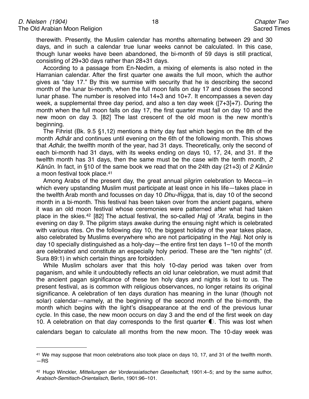therewith. Presently, the Muslim calendar has months alternating between 29 and 30 days, and in such a calendar true lunar weeks cannot be calculated. In this case, though lunar weeks have been abandoned, the bi-month of 59 days is still practical, consisting of 29+30 days rather than 28+31 days.

According to a passage from En-Nedim, a mixing of elements is also noted in the Harranian calendar. After the first quarter one awaits the full moon, which the author gives as "day 17." By this we surmise with security that he is describing the second month of the lunar bi-month, when the full moon falls on day 17 and closes the second lunar phase. The number is resolved into 14+3 and 10+7. It encompasses a seven day week, a supplemental three day period, and also a ten day week ([7+3]+7). During the month when the full moon falls on day 17, the first quarter must fall on day 10 and the new moon on day 3. [82] The last crescent of the old moon is the new month's beginning.

The Fihrist (Bk. 9.5 §1,12) mentions a thirty day fast which begins on the 8th of the month *Adhâr* and continues until evening on the 6th of the following month. This shows that *Adhâr,* the twelfth month of the year, had 31 days. Theoretically, only the second of each bi-month had 31 days, with its weeks ending on days 10, 17, 24, and 31. If the twelfth month has 31 days, then the same must be the case with the tenth month, *2 Kânûn*. In fact, in §10 of the same book we read that on the 24th day (21+3) of *2 Kânûn*  a moon festival took place[.41](#page-17-0)

Among Arabs of the present day, the great annual pilgrim celebration to Mecca—in which every upstanding Muslim must participate at least once in his life—takes place in the twelfth Arab month and focusses on day 10 *Dhu-l*ĥ*igga*, that is, day 10 of the second month in a bi-month. This festival has been taken over from the ancient pagans, where it was an old moon festival whose ceremonies were patterned after what had taken place in the skies.[42](#page-17-1) [82] The actual festival, the so-called *Hajj* of ʻ*Arafa*, begins in the evening on day 9. The pilgrim stays awake during the ensuing night which is celebrated with various rites. On the following day 10, the biggest holiday of the year takes place, also celebrated by Muslims everywhere who are not participating in the *Hajj*. Not only is day 10 specially distinguished as a holy-day—the entire first ten days 1–10 of the month are celebrated and constitute an especially holy period. These are the "ten nights" (cf. Sura 89:1) in which certain things are forbidden.

While Muslim scholars aver that this holy 10-day period was taken over from paganism, and while it undoubtedly reflects an old lunar celebration, we must admit that the ancient pagan significance of these ten holy days and nights is lost to us. The present festival, as is common with religious observances, no longer retains its original significance. A celebration of ten days duration has meaning in the lunar (though not solar) calendar—namely, at the beginning of the second month of the bi-month, the month which begins with the light's disappearance at the end of the previous lunar cycle. In this case, the new moon occurs on day 3 and the end of the first week on day 10. A celebration on that day corresponds to the first quarter  $\mathbb O$ . This was lost when

calendars began to calculate all months from the new moon. The 10-day week was

<span id="page-17-0"></span><sup>41</sup> We may suppose that moon celebrations also took place on days 10, 17, and 31 of the twelfth month. —RS

<span id="page-17-1"></span><sup>42</sup> Hugo Winckler, *Mitteilungen der Vorderasiatischen Gesellschaft*, 1901:4–5; and by the same author, *Arabisch-Semitisch-Orientalisch,* Berlin, 1901:96–101.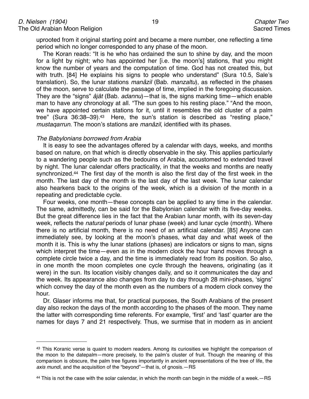uprooted from it original starting point and became a mere number, one reflecting a time period which no longer corresponded to any phase of the moon.

The Koran reads: "It is he who has ordained the sun to shine by day, and the moon for a light by night; who has appointed her [i.e. the moon's] stations, that you might know the number of years and the computation of time. God has not created this, but with truth. [84] He explains his signs to people who understand" (Sura 10.5, Sale's translation). So, the lunar stations *manâzil* (Bab. *manzaltu*), as reflected in the phases of the moon, serve to calculate the passage of time, implied in the foregoing discussion. They are the "signs" *âjât* (Bab. *adannu*)—that is, the signs marking time—which enable man to have any chronology at all. "The sun goes to his resting place." "And the moon, we have appointed certain stations for it, until it resembles the old cluster of a palm tree" (Sura 36:38–39)[.43](#page-18-0) Here, the sun's station is described as "resting place," *mustaqarrun*. The moon's stations are *manâzil*, identified with its phases.

#### *The Babylonians borrowed from Arabia*

It is easy to see the advantages offered by a calendar with days, weeks, and months based on nature, on that which is directly observable in the sky. This applies particularly to a wandering people such as the bedouins of Arabia, accustomed to extended travel by night. The lunar calendar offers practicality, in that the weeks and months are neatly synchronized[.44](#page-18-1) The first day of the month is also the first day of the first week in the month. The last day of the month is the last day of the last week. The lunar calendar also hearkens back to the origins of the week, which is a division of the month in a repeating and predictable cycle.

Four weeks, one month—these concepts can be applied to any time in the calendar. The same, admittedly, can be said for the Babylonian calendar with its five-day weeks. But the great difference lies in the fact that the Arabian lunar month, with its seven-day week, reflects the *natural* periods of lunar phase (week) and lunar cycle (month). Where there is no artificial month, there is no need of an artificial calendar. [85] Anyone can immediately see, by looking at the moon's phases, what day and what week of the month it is. This is why the lunar stations (phases) are indicators or signs to man, signs which interpret the time—even as in the modern clock the hour hand moves through a complete circle twice a day, and the time is immediately read from its position. So also, in one month the moon completes one cycle through the heavens, originating (as it were) in the sun. Its location visibly changes daily, and so it communicates the day and the week. Its appearance also changes from day to day through 28 mini-phases, ʻsigns' which convey the day of the month even as the numbers of a modern clock convey the hour.

Dr. Glaser informs me that, for practical purposes, the South Arabians of the present day also reckon the days of the month according to the phases of the moon. They name the latter with corresponding time referents. For example, ʻfirst' and ʻlast' quarter are the names for days 7 and 21 respectively. Thus, we surmise that in modern as in ancient

<span id="page-18-0"></span><sup>43</sup> This Koranic verse is quaint to modern readers. Among its curiosities we highlight the comparison of the moon to the datepalm—more precisely, to the palm's cluster of fruit. Though the meaning of this comparison is obscure, the palm tree figures importantly in ancient representations of the tree of life, the *axis mundi*, and the acquisition of the "beyond"—that is, of gnosis.—RS

<span id="page-18-1"></span><sup>44</sup> This is not the case with the solar calendar, in which the month can begin in the middle of a week.—RS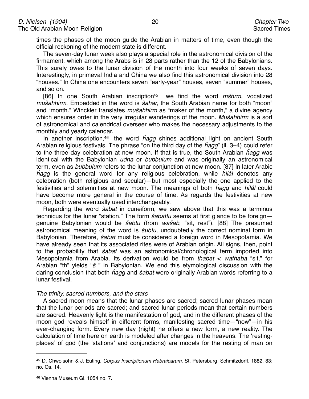times the phases of the moon guide the Arabian in matters of time, even though the official reckoning of the modern state is different.

The seven-day lunar week also plays a special role in the astronomical division of the firmament, which among the Arabs is in 28 parts rather than the 12 of the Babylonians. This surely owes to the lunar division of the month into four weeks of seven days. Interestingly, in primeval India and China we also find this astronomical division into 28 "houses." In China one encounters seven "early-year" houses, seven "summer" houses, and so on.

[86] In one South Arabian inscriptio[n45](#page-19-0) we find the word *m*š*hrm*, vocalized *mu*š*ahhirm*. Embedded in the word is š*ahar,* the South Arabian name for both "moon" and "month." Winckler translates *mu*š*ahhirm* as "maker of the month," a divine agency which ensures order in the very irregular wanderings of the moon. *Mu*š*ahhirm* is a sort of astronomical and calendrical overseer who makes the necessary adjustments to the monthly and yearly calendar.

In another inscription[,46](#page-19-1) the word ĥ*agg* shines additional light on ancient South Arabian religious festivals. The phrase "on the third day of the ĥ*agg*" (ll. 3–4) could refer to the three day celebration at new moon. If that is true, the South Arabian ĥ*agg* was identical with the Babylonian *udna* or *bubbulum* and was originally an astronomical term, even as *bubbulum* refers to the lunar conjunction at new moon. [87] In later Arabic ĥ*agg* is the general word for any religious celebration, while *hilâl* denotes any celebration (both religious and secular)—but most especially the one applied to the festivities and solemnities at new moon. The meanings of both ĥ*agg* and *hilâl* could have become more general in the course of time. As regards the festivities at new moon, both were eventually used interchangeably.

Regarding the word š*abat* in cuneiform, we saw above that this was a terminus technicus for the lunar "station." The form š*abattu* seems at first glance to be foreign genuine Babylonian would be š*abtu* (from *wa*š*ab*, "sit, rest"). [88] The presumed astronomical meaning of the word is š*ubtu*, undoubtedly the correct nominal form in Babylonian. Therefore, š*abat* must be considered a foreign word in Mesopotamia. We have already seen that its associated rites were of Arabian origin. All signs, then, point to the probability that š*abat* was an astronomical/chronological term imported into Mesopotamia from Arabia. Its derivation would be from *thabat* < *wathaba* "sit," for Arabian "th" yields "š " in Babylonian. We end this etymological discussion with the daring conclusion that both ĥ*agg* and š*abat* were originally Arabian words referring to a lunar festival.

#### *The trinity, sacred numbers, and the stars*

A sacred moon means that the lunar phases are sacred; sacred lunar phases mean that the lunar periods are sacred; and sacred lunar periods mean that certain numbers are sacred. Heavenly light is the manifestation of god, and in the different phases of the moon god reveals himself in different forms, manifesting sacred time—"now"—in his ever-changing form. Every new day (night) he offers a new form, a new reality. The calculation of time here on earth is modeled after changes in the heavens. The ʻrestingplaces' of god (the ʻstations' and conjunctions) are models for the resting of man on

<span id="page-19-0"></span><sup>45</sup> D. Chwolsohn & J. Euting, *Corpus Inscriptionum Hebraicarum*, St. Petersburg: Schmitzdorff, 1882. 83: no. Os. 14.

<span id="page-19-1"></span><sup>46</sup> Vienna Museum Gl. 1054 no. 7.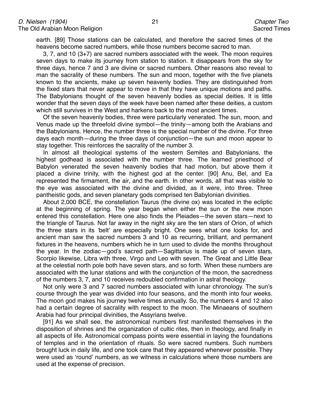earth. [89] Those stations can be calculated, and therefore the sacred times of the heavens become sacred numbers, while those numbers become sacred to man.

3, 7, and 10 (3+7) are sacred numbers associated with the week. The moon requires seven days to make its journey from station to station. It disappears from the sky for three days, hence 7 and 3 are divine or sacred numbers. Other reasons also reveal to man the sacrality of these numbers. The sun and moon, together with the five planets known to the ancients, make up seven heavenly bodies. They are distinguished from the fixed stars that never appear to move in that they have unique motions and paths. The Babylonians thought of the seven heavenly bodies as special deities. It is little wonder that the seven days of the week have been named after these deities, a custom which still survives in the West and harkens back to the most ancient times.

Of the seven heavenly bodies, three were particularly venerated. The sun, moon, and Venus made up the threefold divine symbol—the trinity—among both the Arabians and the Babylonians. Hence, the number three is the special number of the divine. For three days each month—during the three days of conjunction—the sun and moon appear to stay together. This reinforces the sacrality of the number 3.

In almost all theological systems of the western Semites and Babylonians, the highest godhead is associated with the number three. The learned priesthood of Babylon venerated the seven heavenly bodies that had motion, but above them it placed a divine trinity, with the highest god at the center. [90] Anu, Bel, and Ea represented the firmament, the air, and the earth. In other words, all that was visible to the eye was associated with the divine and divided, as it were, into three. Three pantheistic gods, and seven planetary gods comprised ten Babylonian divinities.

About 2,000 BCE, the constellation Taurus (the divine ox) was located in the ecliptic at the beginning of spring. The year began when either the sun or the new moon entered this constellation. Here one also finds the Pleiades—the seven stars—next to the triangle of Taurus. Not far away in the night sky are the ten stars of Orion, of which the three stars in its ʻbelt' are especially bright. One sees what one looks for, and ancient man saw the sacred numbers 3 and 10 as recurring, brilliant, and permanent fixtures in the heavens, numbers which he in turn used to divide the months throughout the year. In the zodiac—god's sacred path—Sagittarius is made up of seven stars, Scorpio likewise, Libra with three, Virgo and Leo with seven. The Great and Little Bear at the celestial north pole both have seven stars, and so forth. When these numbers are associated with the lunar stations and with the conjunction of the moon, the sacredness of the numbers 3, 7, and 10 receives redoubled confirmation in astral theology.

Not only were 3 and 7 sacred numbers associated with lunar chronology. The sun's course through the year was divided into four seasons, and the month into four weeks. The moon god makes his journey twelve times annually. So, the numbers 4 and 12 also had a certain degree of sacrality with respect to the moon. The Minaeans of southern Arabia had four principal divinities, the Assyrians twelve.

[91] As we shall see, the astronomical numbers first manifested themselves in the disposition of shrines and the organization of cultic rites, then in theology, and finally in all aspects of life. Astronomical compass points were essential in laying the foundations of temples and in the orientation of rituals. So were sacred numbers. Such numbers brought luck in daily life, and one took care that they appeared whenever possible. They were used as ʻround' numbers, as we witness in calculations where those numbers are used at the expense of precision.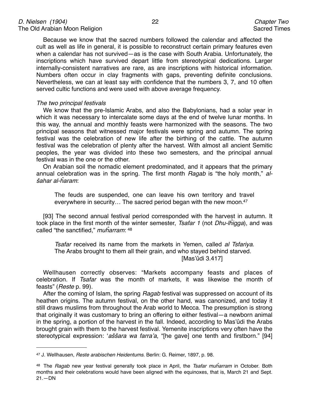Because we know that the sacred numbers followed the calendar and affected the cult as well as life in general, it is possible to reconstruct certain primary features even when a calendar has not survived—as is the case with South Arabia. Unfortunately, the inscriptions which have survived depart little from stereotypical dedications. Larger internally-consistent narratives are rare, as are inscriptions with historical information. Numbers often occur in clay fragments with gaps, preventing definite conclusions. Nevertheless, we can at least say with confidence that the numbers 3, 7, and 10 often served cultic functions and were used with above average frequency.

#### *The two principal festivals*

We know that the pre-Islamic Arabs, and also the Babylonians, had a solar year in which it was necessary to intercalate some days at the end of twelve lunar months. In this way, the annual and monthly feasts were harmonized with the seasons. The two principal seasons that witnessed major festivals were spring and autumn. The spring festival was the celebration of new life after the birthing of the cattle. The autumn festival was the celebration of plenty after the harvest. With almost all ancient Semitic peoples, the year was divided into these two semesters, and the principal annual festival was in the one or the other.

On Arabian soil the nomadic element predominated, and it appears that the primary annual celebration was in the spring. The first month *Ragab* is "the holy month," *al*š*ahar al-*ĥ*aram*:

The feuds are suspended, one can leave his own territory and travel everywhere in security... The sacred period began with the new moon.<sup>47</sup>

[93] The second annual festival period corresponded with the harvest in autumn. It took place in the first month of the winter semester, *Tsafar 1* (not *Dhu-l*ĥ*igga*), and was called "the sanctified," *mu*ĥ*arram*: [48](#page-21-1)

*Tsafar* received its name from the markets in Yemen, called *al Tsfariya*. The Arabs brought to them all their grain, and who stayed behind starved. [Mas'ûdi 3.417]

Wellhausen correctly observes: "Markets accompany feasts and places of celebration. If *Tsafar* was the month of markets, it was likewise the month of feasts" (*Reste* p. 99).

After the coming of Islam, the spring *Ragab* festival was suppressed on account of its heathen origins. The autumn festival, on the other hand, was canonized, and today it still draws muslims from throughout the Arab world to Mecca. The presumption is strong that originally it was customary to bring an offering to either festival—a newborn animal in the spring, a portion of the harvest in the fall. Indeed, according to Mas'ûdi the Arabs brought grain with them to the harvest festival. Yemenite inscriptions very often have the stereotypical expression: ʻ*a*šš*ara wa farra*'*a*, "[he gave] one tenth and firstborn." [94]

<span id="page-21-0"></span><sup>47</sup> J. Wellhausen, *Reste arabischen Heidentums*. Berlin: G. Reimer, 1897, p. 98.

<span id="page-21-1"></span><sup>48</sup> The *Ragab* new year festival generally took place in April, the *Tsafar mu*ĥ*arram* in October. Both months and their celebrations would have been aligned with the equinoxes, that is, March 21 and Sept. 21.—DN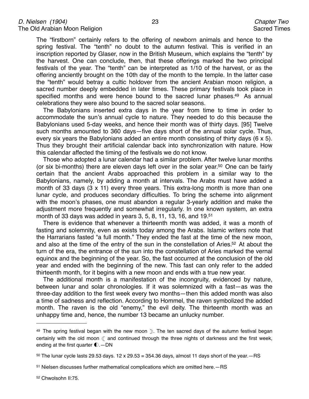The "firstborn" certainly refers to the offering of newborn animals and hence to the spring festival. The "tenth" no doubt to the autumn festival. This is verified in an inscription reported by Glaser, now in the British Museum, which explains the "tenth" by the harvest. One can conclude, then, that these offerings marked the two principal festivals of the year. The "tenth" can be interpreted as 1/10 of the harvest, or as the offering anciently brought on the 10th day of the month to the temple. In the latter case the "tenth" would betray a cultic holdover from the ancient Arabian moon religion, a sacred number deeply embedded in later times. These primary festivals took place in specified months and were hence bound to the sacred lunar phases[.49](#page-22-0) As annual celebrations they were also bound to the sacred solar seasons.

The Babylonians inserted extra days in the year from time to time in order to accommodate the sun's annual cycle to nature. They needed to do this because the Babylonians used 5-day weeks, and hence their month was of thirty days. [95] Twelve such months amounted to 360 days—five days short of the annual solar cycle. Thus, every six years the Babylonians added an entire month consisting of thirty days (6 x 5). Thus they brought their artificial calendar back into synchronization with nature. How this calendar affected the timing of the festivals we do not know.

Those who adopted a lunar calendar had a similar problem. After twelve lunar months (or six bi-months) there are eleven days left over in the solar year[.50](#page-22-1) One can be fairly certain that the ancient Arabs approached this problem in a similar way to the Babylonians, namely, by adding a month at intervals. The Arabs must have added a month of 33 days (3 x 11) every three years. This extra-long month is more than one lunar cycle, and produces secondary difficulties. To bring the scheme into alignment with the moon's phases, one must abandon a regular 3-yearly addition and make the adjustment more frequently and somewhat irregularly. In one known system, an extra month of 33 days was added in years 3, 5, 8, 11, 13, 16, and 19[.51](#page-22-2)

There is evidence that whenever a thirteenth month was added, it was a month of fasting and solemnity, even as exists today among the Arabs. Islamic writers note that the Harrarians fasted "a full month." They ended the fast at the time of the new moon, and also at the time of the entry of the sun in the constellation of Aries[.52](#page-22-3) At about the turn of the era, the entrance of the sun into the constellation of Aries marked the vernal equinox and the beginning of the year. So, the fast occurred at the conclusion of the old year and ended with the beginning of the new. This fast can only refer to the added thirteenth month, for it begins with a new moon and ends with a true new year.

The additional month is a manifestation of the incongruity, evidenced by nature, between lunar and solar chronologies. If it was solemnized with a fast—as was the three-day addition to the first week every two months—then this added month was also a time of sadness and reflection. According to Hommel, the raven symbolized the added month. The raven is the old "enemy," the evil deity. The thirteenth month was an unhappy time and, hence, the number 13 became an unlucky number.

<span id="page-22-0"></span><sup>49</sup> The spring festival began with the new moon ). The ten sacred days of the autumn festival began certainly with the old moon  $\mathbb C$  and continued through the three nights of darkness and the first week, ending at the first quarter  $\bigcirc$ . - DN

<span id="page-22-1"></span> $50$  The lunar cycle lasts 29.53 days. 12 x 29.53 = 354.36 days, almost 11 days short of the year. - RS

<span id="page-22-2"></span><sup>51</sup> Nielsen discusses further mathematical complications which are omitted here.—RS

<span id="page-22-3"></span><sup>52</sup> Chwolsohn II:75.